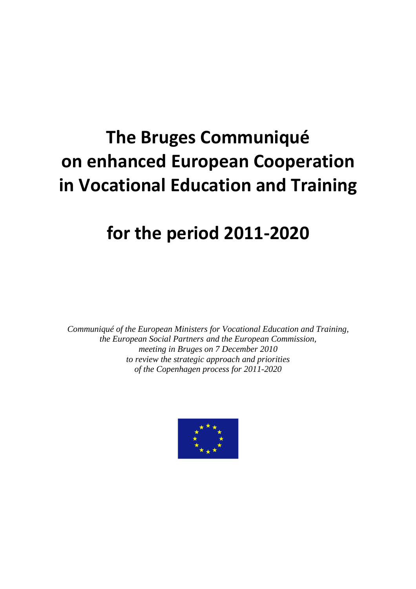# **The Bruges Communiqué on enhanced European Cooperation in Vocational Education and Training**

# **for the period 2011-2020**

*Communiqué of the European Ministers for Vocational Education and Training, the European Social Partners and the European Commission, meeting in Bruges on 7 December 2010 to review the strategic approach and priorities of the Copenhagen process for 2011-2020*

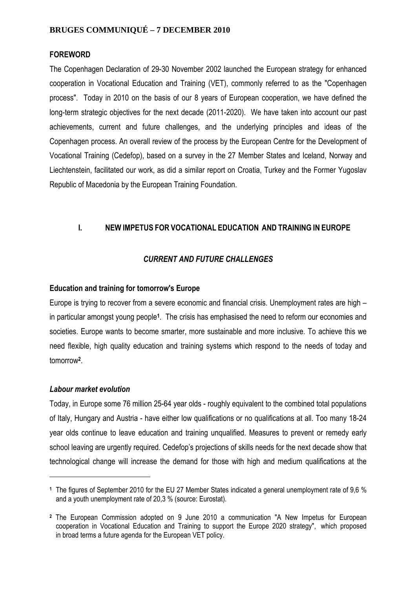## **BRUGES COMMUNIQUÉ – 7 DECEMBER 2010**

#### **FOREWORD**

The Copenhagen Declaration of 29-30 November 2002 launched the European strategy for enhanced cooperation in Vocational Education and Training (VET), commonly referred to as the "Copenhagen process". Today in 2010 on the basis of our 8 years of European cooperation, we have defined the long-term strategic objectives for the next decade (2011-2020). We have taken into account our past achievements, current and future challenges, and the underlying principles and ideas of the Copenhagen process. An overall review of the process by the European Centre for the Development of Vocational Training (Cedefop), based on a survey in the 27 Member States and Iceland, Norway and Liechtenstein, facilitated our work, as did a similar report on Croatia, Turkey and the Former Yugoslav Republic of Macedonia by the European Training Foundation.

## **I. NEW IMPETUS FOR VOCATIONAL EDUCATION AND TRAINING IN EUROPE**

#### *CURRENT AND FUTURE CHALLENGES*

#### **Education and training for tomorrow's Europe**

Europe is trying to recover from a severe economic and financial crisis. Unemployment rates are high – in particular amongst young people**1**. The crisis has emphasised the need to reform our economies and societies. Europe wants to become smarter, more sustainable and more inclusive. To achieve this we need flexible, high quality education and training systems which respond to the needs of today and tomorrow**2**.

#### *Labour market evolution*

 $\overline{a}$ 

Today, in Europe some 76 million 25-64 year olds - roughly equivalent to the combined total populations of Italy, Hungary and Austria - have either low qualifications or no qualifications at all. Too many 18-24 year olds continue to leave education and training unqualified. Measures to prevent or remedy early school leaving are urgently required. Cedefop's projections of skills needs for the next decade show that technological change will increase the demand for those with high and medium qualifications at the

**<sup>1</sup>** The figures of September 2010 for the EU 27 Member States indicated a general unemployment rate of 9,6 % and a youth unemployment rate of 20,3 % (source: Eurostat).

**<sup>2</sup>** The European Commission adopted on 9 June 2010 a communication "A New Impetus for European cooperation in Vocational Education and Training to support the Europe 2020 strategy", which proposed in broad terms a future agenda for the European VET policy.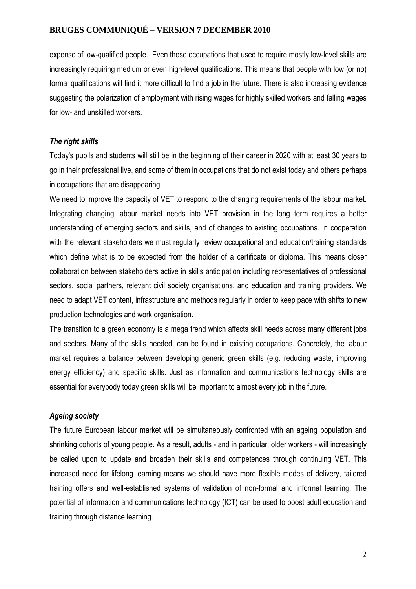expense of low-qualified people. Even those occupations that used to require mostly low-level skills are increasingly requiring medium or even high-level qualifications. This means that people with low (or no) formal qualifications will find it more difficult to find a job in the future. There is also increasing evidence suggesting the polarization of employment with rising wages for highly skilled workers and falling wages for low- and unskilled workers.

## *The right skills*

Today's pupils and students will still be in the beginning of their career in 2020 with at least 30 years to go in their professional live, and some of them in occupations that do not exist today and others perhaps in occupations that are disappearing.

We need to improve the capacity of VET to respond to the changing requirements of the labour market. Integrating changing labour market needs into VET provision in the long term requires a better understanding of emerging sectors and skills, and of changes to existing occupations. In cooperation with the relevant stakeholders we must regularly review occupational and education/training standards which define what is to be expected from the holder of a certificate or diploma. This means closer collaboration between stakeholders active in skills anticipation including representatives of professional sectors, social partners, relevant civil society organisations, and education and training providers. We need to adapt VET content, infrastructure and methods regularly in order to keep pace with shifts to new production technologies and work organisation.

The transition to a green economy is a mega trend which affects skill needs across many different jobs and sectors. Many of the skills needed, can be found in existing occupations. Concretely, the labour market requires a balance between developing generic green skills (e.g. reducing waste, improving energy efficiency) and specific skills. Just as information and communications technology skills are essential for everybody today green skills will be important to almost every job in the future.

## *Ageing society*

The future European labour market will be simultaneously confronted with an ageing population and shrinking cohorts of young people. As a result, adults - and in particular, older workers - will increasingly be called upon to update and broaden their skills and competences through continuing VET. This increased need for lifelong learning means we should have more flexible modes of delivery, tailored training offers and well-established systems of validation of non-formal and informal learning. The potential of information and communications technology (ICT) can be used to boost adult education and training through distance learning.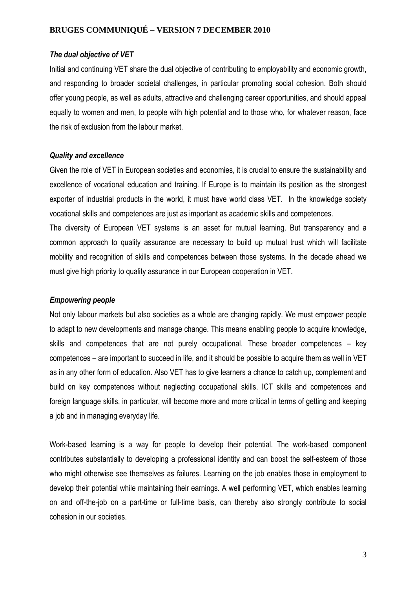#### *The dual objective of VET*

Initial and continuing VET share the dual objective of contributing to employability and economic growth, and responding to broader societal challenges, in particular promoting social cohesion. Both should offer young people, as well as adults, attractive and challenging career opportunities, and should appeal equally to women and men, to people with high potential and to those who, for whatever reason, face the risk of exclusion from the labour market.

#### *Quality and excellence*

Given the role of VET in European societies and economies, it is crucial to ensure the sustainability and excellence of vocational education and training. If Europe is to maintain its position as the strongest exporter of industrial products in the world, it must have world class VET. In the knowledge society vocational skills and competences are just as important as academic skills and competences.

The diversity of European VET systems is an asset for mutual learning. But transparency and a common approach to quality assurance are necessary to build up mutual trust which will facilitate mobility and recognition of skills and competences between those systems. In the decade ahead we must give high priority to quality assurance in our European cooperation in VET.

#### *Empowering people*

Not only labour markets but also societies as a whole are changing rapidly. We must empower people to adapt to new developments and manage change. This means enabling people to acquire knowledge, skills and competences that are not purely occupational. These broader competences – key competences – are important to succeed in life, and it should be possible to acquire them as well in VET as in any other form of education. Also VET has to give learners a chance to catch up, complement and build on key competences without neglecting occupational skills. ICT skills and competences and foreign language skills, in particular, will become more and more critical in terms of getting and keeping a job and in managing everyday life.

Work-based learning is a way for people to develop their potential. The work-based component contributes substantially to developing a professional identity and can boost the self-esteem of those who might otherwise see themselves as failures. Learning on the job enables those in employment to develop their potential while maintaining their earnings. A well performing VET, which enables learning on and off-the-job on a part-time or full-time basis, can thereby also strongly contribute to social cohesion in our societies.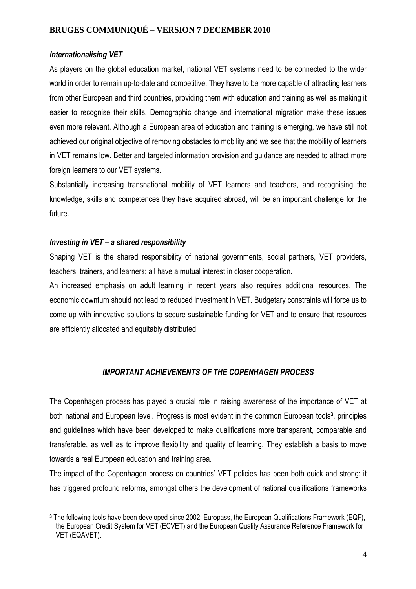## *Internationalising VET*

As players on the global education market, national VET systems need to be connected to the wider world in order to remain up-to-date and competitive. They have to be more capable of attracting learners from other European and third countries, providing them with education and training as well as making it easier to recognise their skills. Demographic change and international migration make these issues even more relevant. Although a European area of education and training is emerging, we have still not achieved our original objective of removing obstacles to mobility and we see that the mobility of learners in VET remains low. Better and targeted information provision and guidance are needed to attract more foreign learners to our VET systems.

Substantially increasing transnational mobility of VET learners and teachers, and recognising the knowledge, skills and competences they have acquired abroad, will be an important challenge for the future.

## *Investing in VET – a shared responsibility*

 $\overline{a}$ 

Shaping VET is the shared responsibility of national governments, social partners, VET providers, teachers, trainers, and learners: all have a mutual interest in closer cooperation.

An increased emphasis on adult learning in recent years also requires additional resources. The economic downturn should not lead to reduced investment in VET. Budgetary constraints will force us to come up with innovative solutions to secure sustainable funding for VET and to ensure that resources are efficiently allocated and equitably distributed.

## *IMPORTANT ACHIEVEMENTS OF THE COPENHAGEN PROCESS*

The Copenhagen process has played a crucial role in raising awareness of the importance of VET at both national and European level. Progress is most evident in the common European tools**3**, principles and guidelines which have been developed to make qualifications more transparent, comparable and transferable, as well as to improve flexibility and quality of learning. They establish a basis to move towards a real European education and training area.

The impact of the Copenhagen process on countries' VET policies has been both quick and strong: it has triggered profound reforms, amongst others the development of national qualifications frameworks

**<sup>3</sup>** The following tools have been developed since 2002: Europass, the European Qualifications Framework (EQF), the European Credit System for VET (ECVET) and the European Quality Assurance Reference Framework for VET (EQAVET).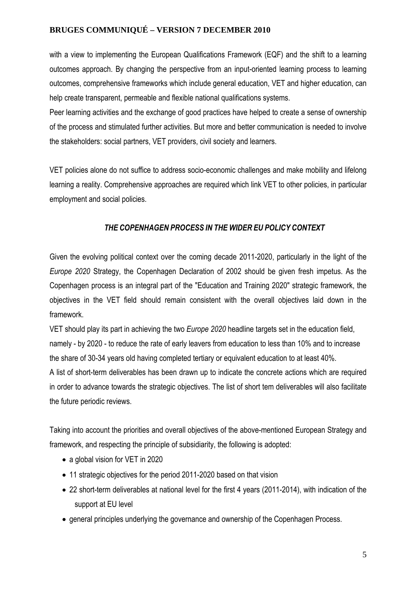with a view to implementing the European Qualifications Framework (EQF) and the shift to a learning outcomes approach. By changing the perspective from an input-oriented learning process to learning outcomes, comprehensive frameworks which include general education, VET and higher education, can help create transparent, permeable and flexible national qualifications systems.

Peer learning activities and the exchange of good practices have helped to create a sense of ownership of the process and stimulated further activities. But more and better communication is needed to involve the stakeholders: social partners, VET providers, civil society and learners.

VET policies alone do not suffice to address socio-economic challenges and make mobility and lifelong learning a reality. Comprehensive approaches are required which link VET to other policies, in particular employment and social policies.

## *THE COPENHAGEN PROCESS IN THE WIDER EU POLICY CONTEXT*

Given the evolving political context over the coming decade 2011-2020, particularly in the light of the *Europe 2020* Strategy, the Copenhagen Declaration of 2002 should be given fresh impetus. As the Copenhagen process is an integral part of the "Education and Training 2020" strategic framework, the objectives in the VET field should remain consistent with the overall objectives laid down in the framework.

VET should play its part in achieving the two *Europe 2020* headline targets set in the education field, namely - by 2020 - to reduce the rate of early leavers from education to less than 10% and to increase the share of 30-34 years old having completed tertiary or equivalent education to at least 40%.

A list of short-term deliverables has been drawn up to indicate the concrete actions which are required in order to advance towards the strategic objectives. The list of short tem deliverables will also facilitate the future periodic reviews.

Taking into account the priorities and overall objectives of the above-mentioned European Strategy and framework, and respecting the principle of subsidiarity, the following is adopted:

- a global vision for VET in 2020
- 11 strategic objectives for the period 2011-2020 based on that vision
- 22 short-term deliverables at national level for the first 4 years (2011-2014), with indication of the support at EU level
- general principles underlying the governance and ownership of the Copenhagen Process.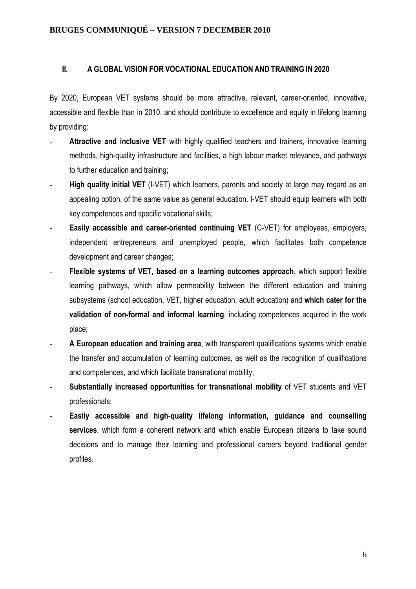## **II. A GLOBAL VISION FOR VOCATIONAL EDUCATION AND TRAINING IN 2020**

By 2020, European VET systems should be more attractive, relevant, career-oriented, innovative, accessible and flexible than in 2010, and should contribute to excellence and equity in lifelong learning by providing:

- Attractive and inclusive VET with highly qualified teachers and trainers, innovative learning methods, high-quality infrastructure and facilities, a high labour market relevance, and pathways to further education and training;
- **High quality initial VET** (I-VET) which learners, parents and society at large may regard as an appealing option, of the same value as general education. I-VET should equip learners with both key competences and specific vocational skills;
- **Easily accessible and career-oriented continuing VET** (C-VET) for employees, employers, independent entrepreneurs and unemployed people, which facilitates both competence development and career changes;
- **Flexible systems of VET, based on a learning outcomes approach**, which support flexible learning pathways, which allow permeability between the different education and training subsystems (school education, VET, higher education, adult education) and **which cater for the validation of non-formal and informal learning**, including competences acquired in the work place;
- **A European education and training area**, with transparent qualifications systems which enable the transfer and accumulation of learning outcomes, as well as the recognition of qualifications and competences, and which facilitate transnational mobility;
- **Substantially increased opportunities for transnational mobility** of VET students and VET professionals;
- **Easily accessible and high-quality lifelong information, guidance and counselling services**, which form a coherent network and which enable European citizens to take sound decisions and to manage their learning and professional careers beyond traditional gender profiles.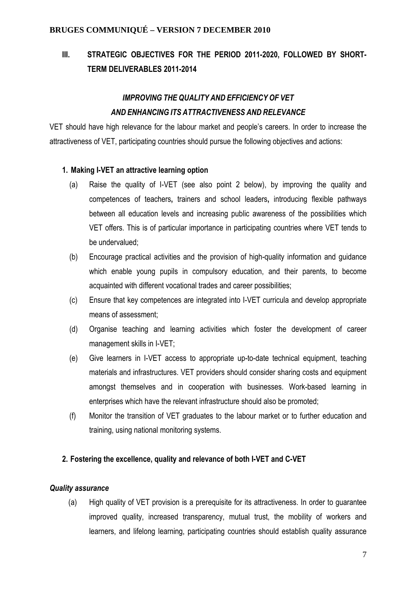# **III. STRATEGIC OBJECTIVES FOR THE PERIOD 2011-2020, FOLLOWED BY SHORT-TERM DELIVERABLES 2011-2014**

# *IMPROVING THE QUALITY AND EFFICIENCY OF VET AND ENHANCING ITS ATTRACTIVENESS AND RELEVANCE*

VET should have high relevance for the labour market and people's careers. In order to increase the attractiveness of VET, participating countries should pursue the following objectives and actions:

#### **1. Making I-VET an attractive learning option**

- (a) Raise the quality of I-VET (see also point 2 below), by improving the quality and competences of teachers**,** trainers and school leaders**,** introducing flexible pathways between all education levels and increasing public awareness of the possibilities which VET offers. This is of particular importance in participating countries where VET tends to be undervalued;
- (b) Encourage practical activities and the provision of high-quality information and guidance which enable young pupils in compulsory education, and their parents, to become acquainted with different vocational trades and career possibilities;
- (c) Ensure that key competences are integrated into I-VET curricula and develop appropriate means of assessment;
- (d) Organise teaching and learning activities which foster the development of career management skills in I-VET;
- (e) Give learners in I-VET access to appropriate up-to-date technical equipment, teaching materials and infrastructures. VET providers should consider sharing costs and equipment amongst themselves and in cooperation with businesses. Work-based learning in enterprises which have the relevant infrastructure should also be promoted;
- (f) Monitor the transition of VET graduates to the labour market or to further education and training, using national monitoring systems.

## **2. Fostering the excellence, quality and relevance of both I-VET and C-VET**

#### *Quality assurance*

(a) High quality of VET provision is a prerequisite for its attractiveness. In order to guarantee improved quality, increased transparency, mutual trust, the mobility of workers and learners, and lifelong learning, participating countries should establish quality assurance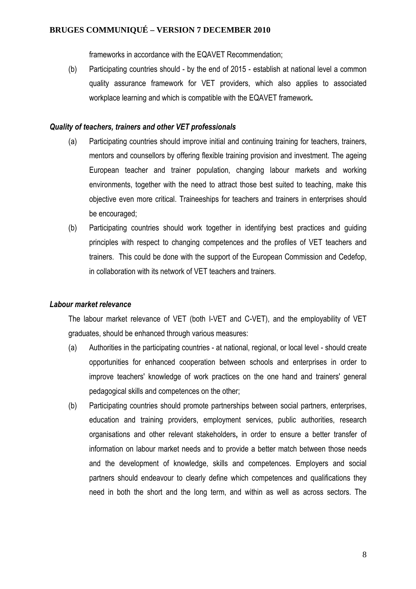frameworks in accordance with the EQAVET Recommendation;

(b) Participating countries should - by the end of 2015 - establish at national level a common quality assurance framework for VET providers, which also applies to associated workplace learning and which is compatible with the EQAVET framework**.** 

#### *Quality of teachers, trainers and other VET professionals*

- (a) Participating countries should improve initial and continuing training for teachers, trainers, mentors and counsellors by offering flexible training provision and investment. The ageing European teacher and trainer population, changing labour markets and working environments, together with the need to attract those best suited to teaching, make this objective even more critical. Traineeships for teachers and trainers in enterprises should be encouraged;
- (b) Participating countries should work together in identifying best practices and guiding principles with respect to changing competences and the profiles of VET teachers and trainers. This could be done with the support of the European Commission and Cedefop, in collaboration with its network of VET teachers and trainers.

#### *Labour market relevance*

The labour market relevance of VET (both I-VET and C-VET), and the employability of VET graduates, should be enhanced through various measures:

- (a) Authorities in the participating countries at national, regional, or local level should create opportunities for enhanced cooperation between schools and enterprises in order to improve teachers' knowledge of work practices on the one hand and trainers' general pedagogical skills and competences on the other;
- (b) Participating countries should promote partnerships between social partners, enterprises, education and training providers, employment services, public authorities, research organisations and other relevant stakeholders**,** in order to ensure a better transfer of information on labour market needs and to provide a better match between those needs and the development of knowledge, skills and competences. Employers and social partners should endeavour to clearly define which competences and qualifications they need in both the short and the long term, and within as well as across sectors. The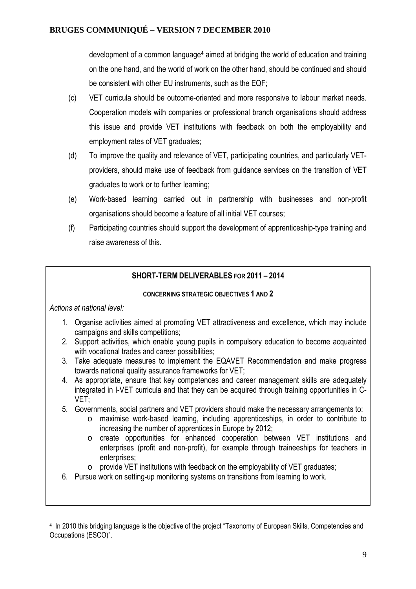development of a common language**4** aimed at bridging the world of education and training on the one hand, and the world of work on the other hand, should be continued and should be consistent with other EU instruments, such as the EQF;

- (c) VET curricula should be outcome-oriented and more responsive to labour market needs. Cooperation models with companies or professional branch organisations should address this issue and provide VET institutions with feedback on both the employability and employment rates of VET graduates;
- (d) To improve the quality and relevance of VET, participating countries, and particularly VETproviders, should make use of feedback from guidance services on the transition of VET graduates to work or to further learning;
- (e) Work-based learning carried out in partnership with businesses and non-profit organisations should become a feature of all initial VET courses;
- (f) Participating countries should support the development of apprenticeship**-**type training and raise awareness of this.

## **SHORT-TERM DELIVERABLES FOR 2011 – 2014**

## **CONCERNING STRATEGIC OBJECTIVES 1 AND 2**

*Actions at national level:* 

 $\overline{a}$ 

- 1. Organise activities aimed at promoting VET attractiveness and excellence, which may include campaigns and skills competitions;
- 2. Support activities, which enable young pupils in compulsory education to become acquainted with vocational trades and career possibilities:
- 3. Take adequate measures to implement the EQAVET Recommendation and make progress towards national quality assurance frameworks for VET;
- 4. As appropriate, ensure that key competences and career management skills are adequately integrated in I-VET curricula and that they can be acquired through training opportunities in C-VET;
- 5. Governments, social partners and VET providers should make the necessary arrangements to:
	- o maximise work-based learning, including apprenticeships, in order to contribute to increasing the number of apprentices in Europe by 2012;
	- o create opportunities for enhanced cooperation between VET institutions and enterprises (profit and non-profit), for example through traineeships for teachers in enterprises;
	- $\circ$  provide VET institutions with feedback on the employability of VET graduates;
- 6. Pursue work on setting**-**up monitoring systems on transitions from learning to work.

<sup>4</sup> In 2010 this bridging language is the objective of the project "Taxonomy of European Skills, Competencies and Occupations (ESCO)".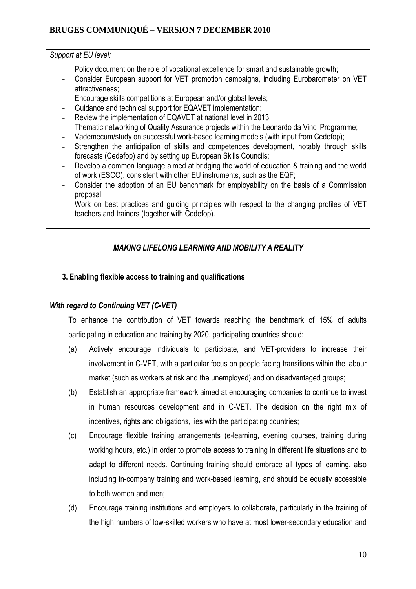## *Support at EU level:*

- Policy document on the role of vocational excellence for smart and sustainable growth;
- Consider European support for VET promotion campaigns, including Eurobarometer on VET attractiveness;
- Encourage skills competitions at European and/or global levels;
- Guidance and technical support for EQAVET implementation;
- Review the implementation of EQAVET at national level in 2013;
- Thematic networking of Quality Assurance projects within the Leonardo da Vinci Programme;
- Vademecum/study on successful work-based learning models (with input from Cedefop);
- Strengthen the anticipation of skills and competences development, notably through skills forecasts (Cedefop) and by setting up European Skills Councils;
- Develop a common language aimed at bridging the world of education & training and the world of work (ESCO), consistent with other EU instruments, such as the EQF;
- Consider the adoption of an EU benchmark for employability on the basis of a Commission proposal;
- Work on best practices and quiding principles with respect to the changing profiles of VET teachers and trainers (together with Cedefop).

## *MAKING LIFELONG LEARNING AND MOBILITY A REALITY*

## **3. Enabling flexible access to training and qualifications**

## *With regard to Continuing VET (C-VET)*

To enhance the contribution of VET towards reaching the benchmark of 15% of adults participating in education and training by 2020, participating countries should:

- (a) Actively encourage individuals to participate, and VET-providers to increase their involvement in C-VET, with a particular focus on people facing transitions within the labour market (such as workers at risk and the unemployed) and on disadvantaged groups;
- (b) Establish an appropriate framework aimed at encouraging companies to continue to invest in human resources development and in C-VET. The decision on the right mix of incentives, rights and obligations, lies with the participating countries;
- (c) Encourage flexible training arrangements (e-learning, evening courses, training during working hours, etc.) in order to promote access to training in different life situations and to adapt to different needs. Continuing training should embrace all types of learning, also including in-company training and work-based learning, and should be equally accessible to both women and men;
- (d) Encourage training institutions and employers to collaborate, particularly in the training of the high numbers of low-skilled workers who have at most lower-secondary education and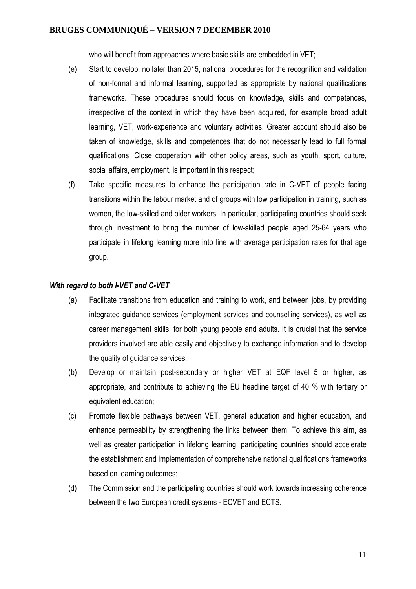who will benefit from approaches where basic skills are embedded in VET;

- (e) Start to develop, no later than 2015, national procedures for the recognition and validation of non-formal and informal learning, supported as appropriate by national qualifications frameworks. These procedures should focus on knowledge, skills and competences, irrespective of the context in which they have been acquired, for example broad adult learning, VET, work-experience and voluntary activities. Greater account should also be taken of knowledge, skills and competences that do not necessarily lead to full formal qualifications. Close cooperation with other policy areas, such as youth, sport, culture, social affairs, employment, is important in this respect;
- (f) Take specific measures to enhance the participation rate in C-VET of people facing transitions within the labour market and of groups with low participation in training, such as women, the low-skilled and older workers. In particular, participating countries should seek through investment to bring the number of low-skilled people aged 25-64 years who participate in lifelong learning more into line with average participation rates for that age group.

#### *With regard to both I-VET and C-VET*

- (a) Facilitate transitions from education and training to work, and between jobs, by providing integrated guidance services (employment services and counselling services), as well as career management skills, for both young people and adults. It is crucial that the service providers involved are able easily and objectively to exchange information and to develop the quality of guidance services;
- (b) Develop or maintain post-secondary or higher VET at EQF level 5 or higher, as appropriate, and contribute to achieving the EU headline target of 40 % with tertiary or equivalent education;
- (c) Promote flexible pathways between VET, general education and higher education, and enhance permeability by strengthening the links between them. To achieve this aim, as well as greater participation in lifelong learning, participating countries should accelerate the establishment and implementation of comprehensive national qualifications frameworks based on learning outcomes;
- (d) The Commission and the participating countries should work towards increasing coherence between the two European credit systems - ECVET and ECTS.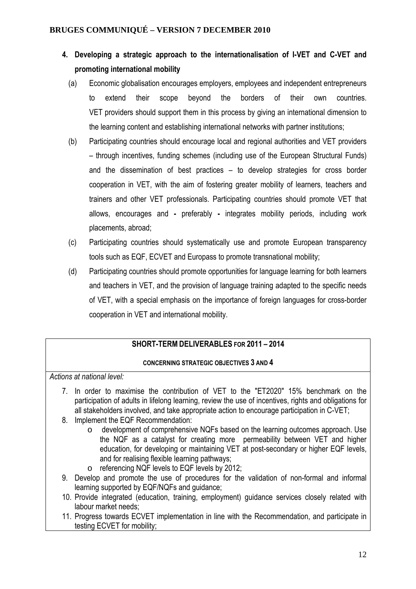- **4. Developing a strategic approach to the internationalisation of I-VET and C-VET and promoting international mobility** 
	- (a) Economic globalisation encourages employers, employees and independent entrepreneurs to extend their scope beyond the borders of their own countries. VET providers should support them in this process by giving an international dimension to the learning content and establishing international networks with partner institutions;
	- (b) Participating countries should encourage local and regional authorities and VET providers – through incentives, funding schemes (including use of the European Structural Funds) and the dissemination of best practices – to develop strategies for cross border cooperation in VET, with the aim of fostering greater mobility of learners, teachers and trainers and other VET professionals. Participating countries should promote VET that allows, encourages and **-** preferably **-** integrates mobility periods, including work placements, abroad;
	- (c) Participating countries should systematically use and promote European transparency tools such as EQF, ECVET and Europass to promote transnational mobility;
	- (d) Participating countries should promote opportunities for language learning for both learners and teachers in VET, and the provision of language training adapted to the specific needs of VET, with a special emphasis on the importance of foreign languages for cross-border cooperation in VET and international mobility.

## **SHORT-TERM DELIVERABLES FOR 2011 – 2014**

## **CONCERNING STRATEGIC OBJECTIVES 3 AND 4**

*Actions at national level:*

- 7. In order to maximise the contribution of VET to the "ET2020" 15% benchmark on the participation of adults in lifelong learning, review the use of incentives, rights and obligations for all stakeholders involved, and take appropriate action to encourage participation in C-VET;
- 8. Implement the EQF Recommendation:
	- o development of comprehensive NQFs based on the learning outcomes approach. Use the NQF as a catalyst for creating more permeability between VET and higher education, for developing or maintaining VET at post-secondary or higher EQF levels, and for realising flexible learning pathways;
	- o referencing NQF levels to EQF levels by 2012;
- 9. Develop and promote the use of procedures for the validation of non-formal and informal learning supported by EQF/NQFs and guidance;
- 10. Provide integrated (education, training, employment) guidance services closely related with labour market needs;
- 11. Progress towards ECVET implementation in line with the Recommendation, and participate in testing ECVET for mobility;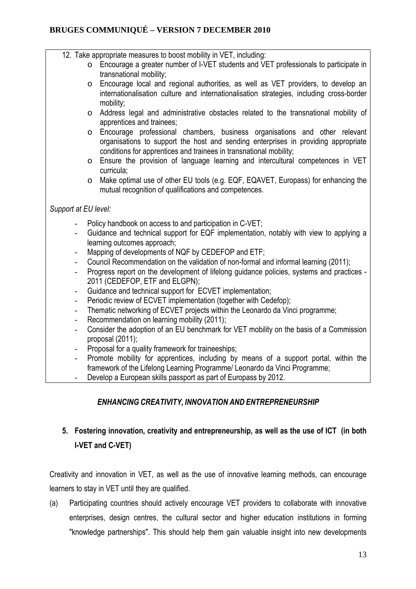- 12. Take appropriate measures to boost mobility in VET, including:
	- o Encourage a greater number of I-VET students and VET professionals to participate in transnational mobility;
	- o Encourage local and regional authorities, as well as VET providers, to develop an internationalisation culture and internationalisation strategies, including cross-border mobility;
	- o Address legal and administrative obstacles related to the transnational mobility of apprentices and trainees;
	- o Encourage professional chambers, business organisations and other relevant organisations to support the host and sending enterprises in providing appropriate conditions for apprentices and trainees in transnational mobility;
	- o Ensure the provision of language learning and intercultural competences in VET curricula;
	- o Make optimal use of other EU tools (e.g. EQF, EQAVET, Europass) for enhancing the mutual recognition of qualifications and competences.

## *Support at EU level:*

- Policy handbook on access to and participation in C-VET;
- Guidance and technical support for EQF implementation, notably with view to applying a learning outcomes approach;
- Mapping of developments of NQF by CEDEFOP and ETF;
- Council Recommendation on the validation of non-formal and informal learning (2011);
- Progress report on the development of lifelong guidance policies, systems and practices -2011 (CEDEFOP, ETF and ELGPN);
- Guidance and technical support for ECVET implementation;
- Periodic review of ECVET implementation (together with Cedefop);
- Thematic networking of ECVET projects within the Leonardo da Vinci programme;
- Recommendation on learning mobility (2011);
- Consider the adoption of an EU benchmark for VET mobility on the basis of a Commission proposal (2011);
- Proposal for a quality framework for traineeships:
- Promote mobility for apprentices, including by means of a support portal, within the framework of the Lifelong Learning Programme/ Leonardo da Vinci Programme;
- Develop a European skills passport as part of Europass by 2012.

# *ENHANCING CREATIVITY, INNOVATION AND ENTREPRENEURSHIP*

# **5. Fostering innovation, creativity and entrepreneurship, as well as the use of ICT (in both I-VET and C-VET)**

Creativity and innovation in VET, as well as the use of innovative learning methods, can encourage learners to stay in VET until they are qualified.

(a) Participating countries should actively encourage VET providers to collaborate with innovative enterprises, design centres, the cultural sector and higher education institutions in forming "knowledge partnerships". This should help them gain valuable insight into new developments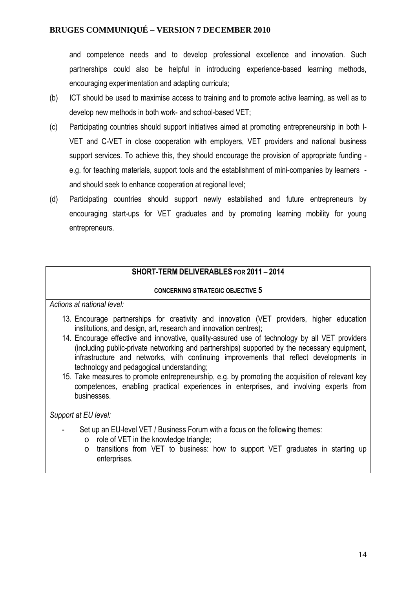and competence needs and to develop professional excellence and innovation. Such partnerships could also be helpful in introducing experience-based learning methods, encouraging experimentation and adapting curricula;

- (b) ICT should be used to maximise access to training and to promote active learning, as well as to develop new methods in both work- and school-based VET;
- (c) Participating countries should support initiatives aimed at promoting entrepreneurship in both I-VET and C-VET in close cooperation with employers, VET providers and national business support services. To achieve this, they should encourage the provision of appropriate funding e.g. for teaching materials, support tools and the establishment of mini-companies by learners and should seek to enhance cooperation at regional level;
- (d) Participating countries should support newly established and future entrepreneurs by encouraging start-ups for VET graduates and by promoting learning mobility for young entrepreneurs.

## **SHORT-TERM DELIVERABLES FOR 2011 – 2014**

#### **CONCERNING STRATEGIC OBJECTIVE 5**

*Actions at national level:*

- 13. Encourage partnerships for creativity and innovation (VET providers, higher education institutions, and design, art, research and innovation centres);
- 14. Encourage effective and innovative, quality-assured use of technology by all VET providers (including public-private networking and partnerships) supported by the necessary equipment, infrastructure and networks, with continuing improvements that reflect developments in technology and pedagogical understanding;
- 15. Take measures to promote entrepreneurship, e.g. by promoting the acquisition of relevant key competences, enabling practical experiences in enterprises, and involving experts from businesses.

*Support at EU level:* 

- Set up an EU-level VET / Business Forum with a focus on the following themes:
	- o role of VET in the knowledge triangle;
	- o transitions from VET to business: how to support VET graduates in starting up enterprises.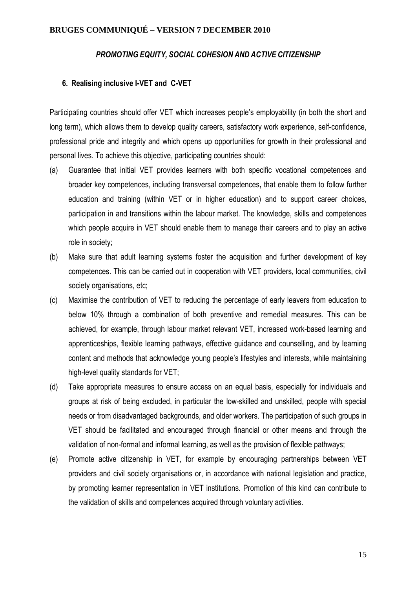#### *PROMOTING EQUITY, SOCIAL COHESION AND ACTIVE CITIZENSHIP*

#### **6. Realising inclusive I-VET and C-VET**

Participating countries should offer VET which increases people's employability (in both the short and long term), which allows them to develop quality careers, satisfactory work experience, self-confidence, professional pride and integrity and which opens up opportunities for growth in their professional and personal lives. To achieve this objective, participating countries should:

- (a) Guarantee that initial VET provides learners with both specific vocational competences and broader key competences, including transversal competences**,** that enable them to follow further education and training (within VET or in higher education) and to support career choices, participation in and transitions within the labour market. The knowledge, skills and competences which people acquire in VET should enable them to manage their careers and to play an active role in society;
- (b)Make sure that adult learning systems foster the acquisition and further development of key competences. This can be carried out in cooperation with VET providers, local communities, civil society organisations, etc;
- (c) Maximise the contribution of VET to reducing the percentage of early leavers from education to below 10% through a combination of both preventive and remedial measures. This can be achieved, for example, through labour market relevant VET, increased work-based learning and apprenticeships, flexible learning pathways, effective guidance and counselling, and by learning content and methods that acknowledge young people's lifestyles and interests, while maintaining high-level quality standards for VET:
- (d) Take appropriate measures to ensure access on an equal basis, especially for individuals and groups at risk of being excluded, in particular the low-skilled and unskilled, people with special needs or from disadvantaged backgrounds, and older workers. The participation of such groups in VET should be facilitated and encouraged through financial or other means and through the validation of non-formal and informal learning, as well as the provision of flexible pathways;
- (e) Promote active citizenship in VET, for example by encouraging partnerships between VET providers and civil society organisations or, in accordance with national legislation and practice, by promoting learner representation in VET institutions. Promotion of this kind can contribute to the validation of skills and competences acquired through voluntary activities.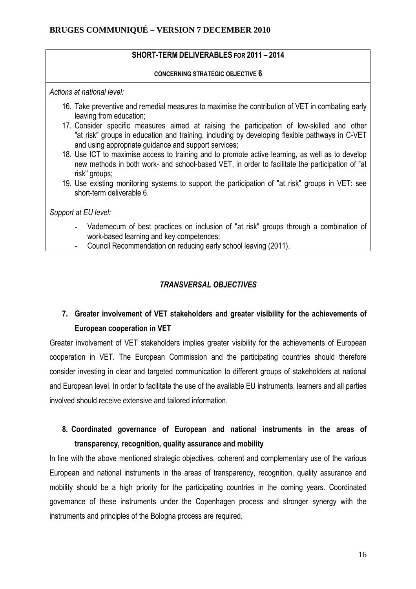## **SHORT-TERM DELIVERABLES FOR 2011 – 2014**

**CONCERNING STRATEGIC OBJECTIVE 6** 

*Actions at national level:*

- 16. Take preventive and remedial measures to maximise the contribution of VET in combating early leaving from education;
- 17. Consider specific measures aimed at raising the participation of low-skilled and other "at risk" groups in education and training, including by developing flexible pathways in C-VET and using appropriate guidance and support services;
- 18. Use ICT to maximise access to training and to promote active learning, as well as to develop new methods in both work- and school-based VET, in order to facilitate the participation of "at risk" groups;
- 19. Use existing monitoring systems to support the participation of "at risk" groups in VET: see short-term deliverable 6.

*Support at EU level:* 

- Vademecum of best practices on inclusion of "at risk" groups through a combination of work-based learning and key competences;
- Council Recommendation on reducing early school leaving (2011).

## *TRANSVERSAL OBJECTIVES*

# **7. Greater involvement of VET stakeholders and greater visibility for the achievements of European cooperation in VET**

Greater involvement of VET stakeholders implies greater visibility for the achievements of European cooperation in VET. The European Commission and the participating countries should therefore consider investing in clear and targeted communication to different groups of stakeholders at national and European level. In order to facilitate the use of the available EU instruments, learners and all parties involved should receive extensive and tailored information.

# **8. Coordinated governance of European and national instruments in the areas of transparency, recognition, quality assurance and mobility**

In line with the above mentioned strategic objectives, coherent and complementary use of the various European and national instruments in the areas of transparency, recognition, quality assurance and mobility should be a high priority for the participating countries in the coming years. Coordinated governance of these instruments under the Copenhagen process and stronger synergy with the instruments and principles of the Bologna process are required.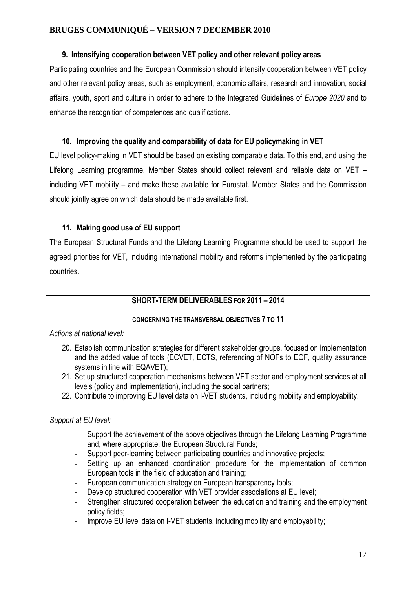#### **9. Intensifying cooperation between VET policy and other relevant policy areas**

Participating countries and the European Commission should intensify cooperation between VET policy and other relevant policy areas, such as employment, economic affairs, research and innovation, social affairs, youth, sport and culture in order to adhere to the Integrated Guidelines of *Europe 2020* and to enhance the recognition of competences and qualifications.

## **10. Improving the quality and comparability of data for EU policymaking in VET**

EU level policy-making in VET should be based on existing comparable data. To this end, and using the Lifelong Learning programme, Member States should collect relevant and reliable data on VET – including VET mobility – and make these available for Eurostat. Member States and the Commission should jointly agree on which data should be made available first.

## **11. Making good use of EU support**

The European Structural Funds and the Lifelong Learning Programme should be used to support the agreed priorities for VET, including international mobility and reforms implemented by the participating countries.

## **SHORT-TERM DELIVERABLES FOR 2011 – 2014**

## **CONCERNING THE TRANSVERSAL OBJECTIVES 7 TO 11**

*Actions at national level:*

- 20. Establish communication strategies for different stakeholder groups, focused on implementation and the added value of tools (ECVET, ECTS, referencing of NQFs to EQF, quality assurance systems in line with EQAVET);
- 21. Set up structured cooperation mechanisms between VET sector and employment services at all levels (policy and implementation), including the social partners;
- 22. Contribute to improving EU level data on I-VET students, including mobility and employability.

## *Support at EU level:*

- Support the achievement of the above objectives through the Lifelong Learning Programme and, where appropriate, the European Structural Funds;
- Support peer-learning between participating countries and innovative projects;
- Setting up an enhanced coordination procedure for the implementation of common European tools in the field of education and training;
- European communication strategy on European transparency tools;
- Develop structured cooperation with VET provider associations at EU level;
- Strengthen structured cooperation between the education and training and the employment policy fields;
- Improve EU level data on I-VET students, including mobility and employability;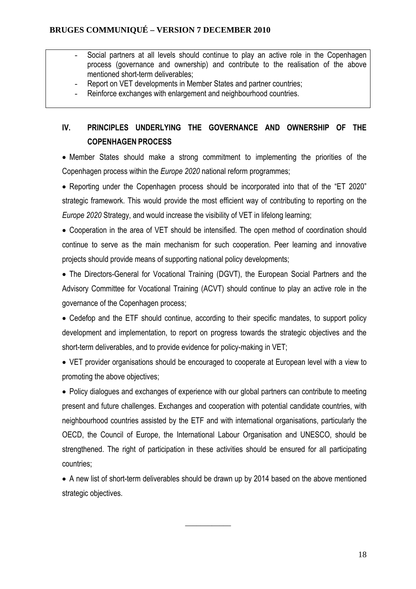- Social partners at all levels should continue to play an active role in the Copenhagen process (governance and ownership) and contribute to the realisation of the above mentioned short-term deliverables;
- Report on VET developments in Member States and partner countries;
- Reinforce exchanges with enlargement and neighbourhood countries.

# **IV. PRINCIPLES UNDERLYING THE GOVERNANCE AND OWNERSHIP OF THE COPENHAGEN PROCESS**

• Member States should make a strong commitment to implementing the priorities of the Copenhagen process within the *Europe 2020* national reform programmes;

• Reporting under the Copenhagen process should be incorporated into that of the "ET 2020" strategic framework. This would provide the most efficient way of contributing to reporting on the *Europe 2020* Strategy, and would increase the visibility of VET in lifelong learning;

• Cooperation in the area of VET should be intensified. The open method of coordination should continue to serve as the main mechanism for such cooperation. Peer learning and innovative projects should provide means of supporting national policy developments;

• The Directors-General for Vocational Training (DGVT), the European Social Partners and the Advisory Committee for Vocational Training (ACVT) should continue to play an active role in the governance of the Copenhagen process;

• Cedefop and the ETF should continue, according to their specific mandates, to support policy development and implementation, to report on progress towards the strategic objectives and the short-term deliverables, and to provide evidence for policy-making in VET;

• VET provider organisations should be encouraged to cooperate at European level with a view to promoting the above objectives;

• Policy dialogues and exchanges of experience with our global partners can contribute to meeting present and future challenges. Exchanges and cooperation with potential candidate countries, with neighbourhood countries assisted by the ETF and with international organisations, particularly the OECD, the Council of Europe, the International Labour Organisation and UNESCO, should be strengthened. The right of participation in these activities should be ensured for all participating countries;

• A new list of short-term deliverables should be drawn up by 2014 based on the above mentioned strategic objectives.

 $\overline{\phantom{a}}$  , we can also the contract of  $\overline{\phantom{a}}$